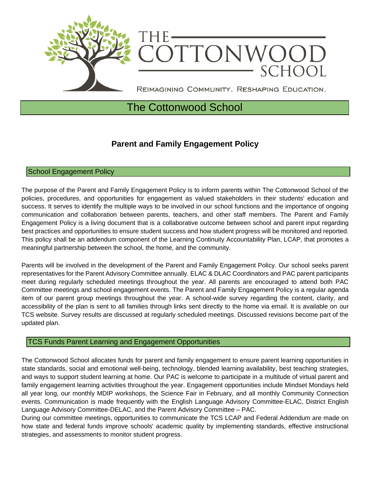

# The Cottonwood School

## **Parent and Family Engagement Policy**

### School Engagement Policy

The purpose of the Parent and Family Engagement Policy is to inform parents within The Cottonwood School of the policies, procedures, and opportunities for engagement as valued stakeholders in their students' education and success. It serves to identify the multiple ways to be involved in our school functions and the importance of ongoing communication and collaboration between parents, teachers, and other staff members. The Parent and Family Engagement Policy is a living document that is a collaborative outcome between school and parent input regarding best practices and opportunities to ensure student success and how student progress will be monitored and reported. This policy shall be an addendum component of the Learning Continuity Accountability Plan, LCAP, that promotes a meaningful partnership between the school, the home, and the community.

Parents will be involved in the development of the Parent and Family Engagement Policy. Our school seeks parent representatives for the Parent Advisory Committee annually. ELAC & DLAC Coordinators and PAC parent participants meet during regularly scheduled meetings throughout the year. All parents are encouraged to attend both PAC Committee meetings and school engagement events. The Parent and Family Engagement Policy is a regular agenda item of our parent group meetings throughout the year. A school-wide survey regarding the content, clarity, and accessibility of the plan is sent to all families through links sent directly to the home via email. It is available on our TCS website. Survey results are discussed at regularly scheduled meetings. Discussed revisions become part of the updated plan.

#### TCS Funds Parent Learning and Engagement Opportunities

The Cottonwood School allocates funds for parent and family engagement to ensure parent learning opportunities in state standards, social and emotional well-being, technology, blended learning availability, best teaching strategies, and ways to support student learning at home. Our PAC is welcome to participate in a multitude of virtual parent and family engagement learning activities throughout the year. Engagement opportunities include Mindset Mondays held all year long, our monthly MDIP workshops, the Science Fair in February, and all monthly Community Connection events. Communication is made frequently with the English Language Advisory Committee-ELAC, District English Language Advisory Committee-DELAC, and the Parent Advisory Committee – PAC.

During our committee meetings, opportunities to communicate the TCS LCAP and Federal Addendum are made on how state and federal funds improve schools' academic quality by implementing standards, effective instructional strategies, and assessments to monitor student progress.